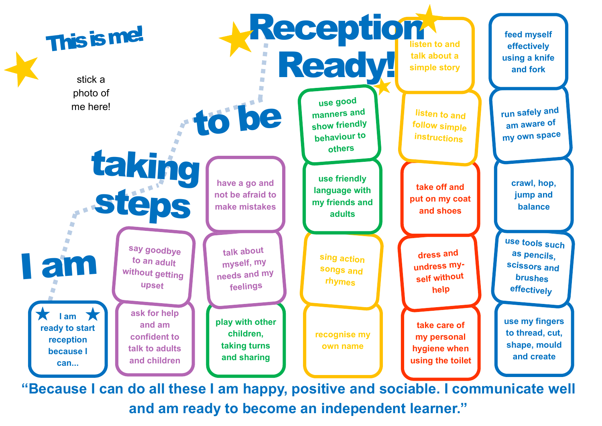

**"Because I can do all these I am happy, positive and sociable. I communicate well and am ready to become an independent learner."**